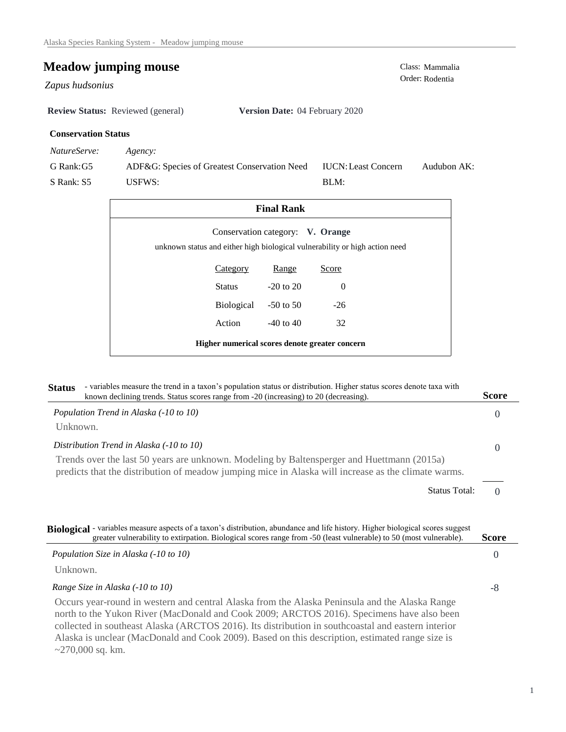## **Meadow jumping mouse**<br>
Class: Mammalia<br>
Order: Rodentia

Order: Rodentia *Zapus hudsonius* 

**Review Status:** Reviewed (general) **Version Date:** 04 February 2020

## **Conservation Status**

*NatureServe: Agency:*

G Rank:G5 S Rank: S5 ADF&G: Species of Greatest Conservation Need USFWS: Audubon AK: BLM: IUCN:Least Concern

| <b>Final Rank</b>                                                           |                                  |          |  |  |
|-----------------------------------------------------------------------------|----------------------------------|----------|--|--|
| unknown status and either high biological vulnerability or high action need | Conservation category: V. Orange |          |  |  |
| Category                                                                    | Range                            | Score    |  |  |
| Status                                                                      | $-20$ to $20$                    | $\Omega$ |  |  |
| Biological                                                                  | $-50$ to 50                      | $-26$    |  |  |
| Action                                                                      | $-40$ to $40$                    | 32       |  |  |
| Higher numerical scores denote greater concern                              |                                  |          |  |  |

| - variables measure the trend in a taxon's population status or distribution. Higher status scores denote taxa with<br><b>Status</b><br>known declining trends. Status scores range from -20 (increasing) to 20 (decreasing).                                                                 | <b>Score</b>                     |
|-----------------------------------------------------------------------------------------------------------------------------------------------------------------------------------------------------------------------------------------------------------------------------------------------|----------------------------------|
| Population Trend in Alaska (-10 to 10)                                                                                                                                                                                                                                                        | $\Omega$                         |
| Unknown.                                                                                                                                                                                                                                                                                      |                                  |
| Distribution Trend in Alaska (-10 to 10)                                                                                                                                                                                                                                                      | $\Omega$                         |
| Trends over the last 50 years are unknown. Modeling by Baltensperger and Huettmann (2015a)<br>predicts that the distribution of meadow jumping mice in Alaska will increase as the climate warms.                                                                                             |                                  |
|                                                                                                                                                                                                                                                                                               | <b>Status Total:</b><br>$\Omega$ |
| Biological - variables measure aspects of a taxon's distribution, abundance and life history. Higher biological scores suggest<br>greater vulnerability to extirpation. Biological scores range from -50 (least vulnerable) to 50 (most vulnerable).<br>Population Size in Alaska (-10 to 10) | <b>Score</b>                     |
|                                                                                                                                                                                                                                                                                               |                                  |
|                                                                                                                                                                                                                                                                                               | $\theta$                         |
| Unknown.                                                                                                                                                                                                                                                                                      |                                  |
| Range Size in Alaska (-10 to 10)                                                                                                                                                                                                                                                              | -8                               |

~270,000 sq. km.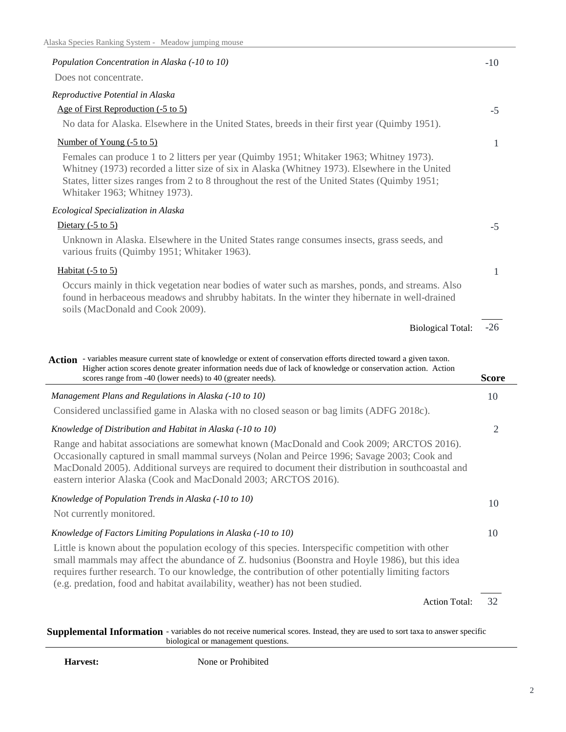| Population Concentration in Alaska (-10 to 10)                                                                                                                                                                                                                                                                                                                                                                                    | $-10$        |
|-----------------------------------------------------------------------------------------------------------------------------------------------------------------------------------------------------------------------------------------------------------------------------------------------------------------------------------------------------------------------------------------------------------------------------------|--------------|
| Does not concentrate.                                                                                                                                                                                                                                                                                                                                                                                                             |              |
| Reproductive Potential in Alaska                                                                                                                                                                                                                                                                                                                                                                                                  |              |
| Age of First Reproduction (-5 to 5)                                                                                                                                                                                                                                                                                                                                                                                               | $-5$         |
| No data for Alaska. Elsewhere in the United States, breeds in their first year (Quimby 1951).                                                                                                                                                                                                                                                                                                                                     |              |
| Number of Young (-5 to 5)                                                                                                                                                                                                                                                                                                                                                                                                         | 1            |
| Females can produce 1 to 2 litters per year (Quimby 1951; Whitaker 1963; Whitney 1973).<br>Whitney (1973) recorded a litter size of six in Alaska (Whitney 1973). Elsewhere in the United<br>States, litter sizes ranges from 2 to 8 throughout the rest of the United States (Quimby 1951;<br>Whitaker 1963; Whitney 1973).                                                                                                      |              |
| Ecological Specialization in Alaska                                                                                                                                                                                                                                                                                                                                                                                               |              |
| Dietary $(-5 \text{ to } 5)$                                                                                                                                                                                                                                                                                                                                                                                                      | $-5$         |
| Unknown in Alaska. Elsewhere in the United States range consumes insects, grass seeds, and<br>various fruits (Quimby 1951; Whitaker 1963).                                                                                                                                                                                                                                                                                        |              |
| Habitat $(-5 \text{ to } 5)$                                                                                                                                                                                                                                                                                                                                                                                                      | 1            |
| Occurs mainly in thick vegetation near bodies of water such as marshes, ponds, and streams. Also<br>found in herbaceous meadows and shrubby habitats. In the winter they hibernate in well-drained<br>soils (MacDonald and Cook 2009).                                                                                                                                                                                            |              |
| <b>Biological Total:</b>                                                                                                                                                                                                                                                                                                                                                                                                          | $-26$        |
|                                                                                                                                                                                                                                                                                                                                                                                                                                   |              |
|                                                                                                                                                                                                                                                                                                                                                                                                                                   |              |
| Action - variables measure current state of knowledge or extent of conservation efforts directed toward a given taxon.<br>Higher action scores denote greater information needs due of lack of knowledge or conservation action. Action<br>scores range from -40 (lower needs) to 40 (greater needs).                                                                                                                             | <b>Score</b> |
|                                                                                                                                                                                                                                                                                                                                                                                                                                   | 10           |
| Management Plans and Regulations in Alaska (-10 to 10)<br>Considered unclassified game in Alaska with no closed season or bag limits (ADFG 2018c).                                                                                                                                                                                                                                                                                |              |
|                                                                                                                                                                                                                                                                                                                                                                                                                                   |              |
| Knowledge of Distribution and Habitat in Alaska (-10 to 10)<br>Range and habitat associations are somewhat known (MacDonald and Cook 2009; ARCTOS 2016).<br>Occasionally captured in small mammal surveys (Nolan and Peirce 1996; Savage 2003; Cook and<br>MacDonald 2005). Additional surveys are required to document their distribution in southcoastal and<br>eastern interior Alaska (Cook and MacDonald 2003; ARCTOS 2016). | 2            |
| Knowledge of Population Trends in Alaska (-10 to 10)                                                                                                                                                                                                                                                                                                                                                                              |              |
| Not currently monitored.                                                                                                                                                                                                                                                                                                                                                                                                          | 10           |
| Knowledge of Factors Limiting Populations in Alaska (-10 to 10)                                                                                                                                                                                                                                                                                                                                                                   | 10           |
| Little is known about the population ecology of this species. Interspecific competition with other<br>small mammals may affect the abundance of Z. hudsonius (Boonstra and Hoyle 1986), but this idea<br>requires further research. To our knowledge, the contribution of other potentially limiting factors<br>(e.g. predation, food and habitat availability, weather) has not been studied.                                    |              |
| Action Total:                                                                                                                                                                                                                                                                                                                                                                                                                     | 32           |

**Supplemental Information** - variables do not receive numerical scores. Instead, they are used to sort taxa to answer specific biological or management questions.